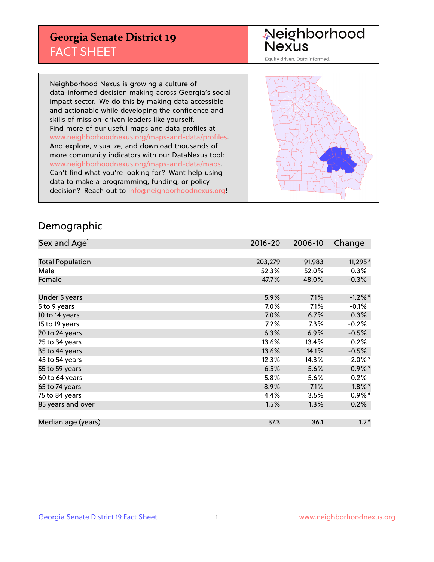## **Georgia Senate District 19** FACT SHEET

# Neighborhood<br>Nexus

Equity driven. Data informed.

Neighborhood Nexus is growing a culture of data-informed decision making across Georgia's social impact sector. We do this by making data accessible and actionable while developing the confidence and skills of mission-driven leaders like yourself. Find more of our useful maps and data profiles at www.neighborhoodnexus.org/maps-and-data/profiles. And explore, visualize, and download thousands of more community indicators with our DataNexus tool: www.neighborhoodnexus.org/maps-and-data/maps. Can't find what you're looking for? Want help using data to make a programming, funding, or policy decision? Reach out to [info@neighborhoodnexus.org!](mailto:info@neighborhoodnexus.org)



### Demographic

| Sex and Age <sup>1</sup> | $2016 - 20$ | 2006-10 | Change     |
|--------------------------|-------------|---------|------------|
|                          |             |         |            |
| <b>Total Population</b>  | 203,279     | 191,983 | 11,295*    |
| Male                     | 52.3%       | 52.0%   | $0.3\%$    |
| Female                   | 47.7%       | 48.0%   | $-0.3%$    |
|                          |             |         |            |
| Under 5 years            | 5.9%        | 7.1%    | $-1.2\%$ * |
| 5 to 9 years             | 7.0%        | 7.1%    | $-0.1%$    |
| 10 to 14 years           | 7.0%        | 6.7%    | 0.3%       |
| 15 to 19 years           | 7.2%        | 7.3%    | $-0.2%$    |
| 20 to 24 years           | 6.3%        | 6.9%    | $-0.5%$    |
| 25 to 34 years           | 13.6%       | 13.4%   | 0.2%       |
| 35 to 44 years           | 13.6%       | 14.1%   | $-0.5%$    |
| 45 to 54 years           | 12.3%       | 14.3%   | $-2.0\%$ * |
| 55 to 59 years           | 6.5%        | 5.6%    | $0.9\%$ *  |
| 60 to 64 years           | 5.8%        | 5.6%    | 0.2%       |
| 65 to 74 years           | 8.9%        | 7.1%    | $1.8\%$ *  |
| 75 to 84 years           | 4.4%        | 3.5%    | $0.9\%$ *  |
| 85 years and over        | 1.5%        | 1.3%    | 0.2%       |
|                          |             |         |            |
| Median age (years)       | 37.3        | 36.1    | $1.2*$     |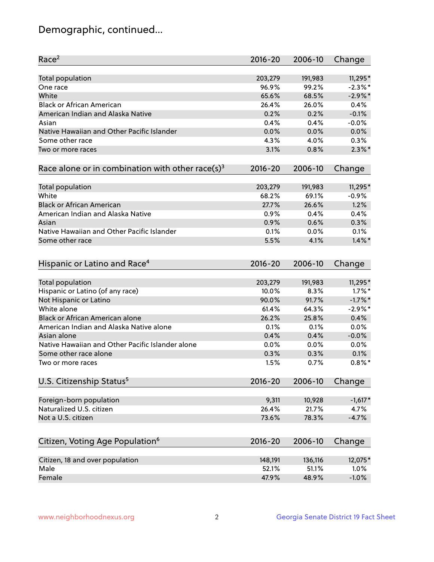## Demographic, continued...

| Race <sup>2</sup>                                            | $2016 - 20$ | 2006-10 | Change     |
|--------------------------------------------------------------|-------------|---------|------------|
| <b>Total population</b>                                      | 203,279     | 191,983 | $11,295*$  |
| One race                                                     | 96.9%       | 99.2%   | $-2.3\%$ * |
| White                                                        | 65.6%       | 68.5%   | $-2.9%$ *  |
| <b>Black or African American</b>                             | 26.4%       | 26.0%   | 0.4%       |
| American Indian and Alaska Native                            | 0.2%        | 0.2%    | $-0.1%$    |
| Asian                                                        | 0.4%        | 0.4%    | $-0.0%$    |
| Native Hawaiian and Other Pacific Islander                   | 0.0%        | 0.0%    | 0.0%       |
| Some other race                                              | 4.3%        | 4.0%    | 0.3%       |
| Two or more races                                            | 3.1%        | 0.8%    | $2.3\%$ *  |
| Race alone or in combination with other race(s) <sup>3</sup> | $2016 - 20$ | 2006-10 | Change     |
| Total population                                             | 203,279     | 191,983 | $11,295*$  |
| White                                                        | 68.2%       | 69.1%   | $-0.9%$    |
| <b>Black or African American</b>                             | 27.7%       | 26.6%   | 1.2%       |
| American Indian and Alaska Native                            | 0.9%        | 0.4%    | 0.4%       |
| Asian                                                        | 0.9%        | 0.6%    | 0.3%       |
| Native Hawaiian and Other Pacific Islander                   | 0.1%        | 0.0%    | 0.1%       |
| Some other race                                              | 5.5%        | 4.1%    | $1.4\%$ *  |
| Hispanic or Latino and Race <sup>4</sup>                     | $2016 - 20$ | 2006-10 | Change     |
| <b>Total population</b>                                      | 203,279     | 191,983 | 11,295*    |
| Hispanic or Latino (of any race)                             | 10.0%       | 8.3%    | $1.7\%$ *  |
| Not Hispanic or Latino                                       | 90.0%       | 91.7%   | $-1.7\%$ * |
| White alone                                                  | 61.4%       | 64.3%   | $-2.9%$ *  |
| Black or African American alone                              | 26.2%       | 25.8%   | 0.4%       |
| American Indian and Alaska Native alone                      | 0.1%        | 0.1%    | 0.0%       |
| Asian alone                                                  | 0.4%        | 0.4%    | $-0.0%$    |
| Native Hawaiian and Other Pacific Islander alone             | 0.0%        | 0.0%    | 0.0%       |
| Some other race alone                                        | 0.3%        | 0.3%    | 0.1%       |
| Two or more races                                            | 1.5%        | 0.7%    | $0.8\%$ *  |
| U.S. Citizenship Status <sup>5</sup>                         | $2016 - 20$ | 2006-10 | Change     |
|                                                              |             |         |            |
| Foreign-born population                                      | 9,311       | 10,928  | $-1,617*$  |
| Naturalized U.S. citizen                                     | 26.4%       | 21.7%   | 4.7%       |
| Not a U.S. citizen                                           | 73.6%       | 78.3%   | $-4.7%$    |
| Citizen, Voting Age Population <sup>6</sup>                  | $2016 - 20$ | 2006-10 | Change     |
| Citizen, 18 and over population                              | 148,191     | 136,116 | 12,075*    |
| Male                                                         | 52.1%       | 51.1%   | 1.0%       |
| Female                                                       | 47.9%       | 48.9%   | $-1.0%$    |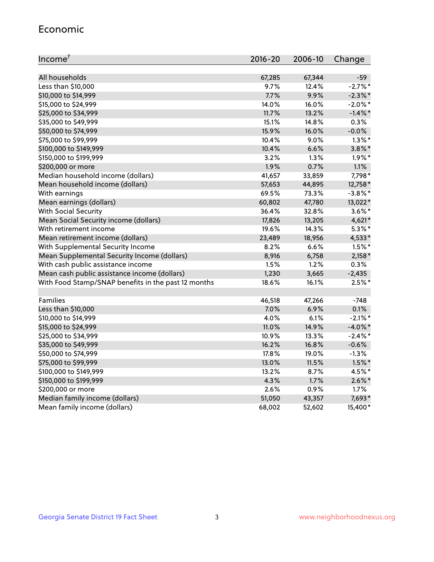#### Economic

| Income <sup>7</sup>                                 | $2016 - 20$ | 2006-10 | Change     |
|-----------------------------------------------------|-------------|---------|------------|
|                                                     |             |         |            |
| All households                                      | 67,285      | 67,344  | $-59$      |
| Less than \$10,000                                  | 9.7%        | 12.4%   | $-2.7\%$ * |
| \$10,000 to \$14,999                                | 7.7%        | 9.9%    | $-2.3\%$ * |
| \$15,000 to \$24,999                                | 14.0%       | 16.0%   | $-2.0\%$ * |
| \$25,000 to \$34,999                                | 11.7%       | 13.2%   | $-1.4\%$ * |
| \$35,000 to \$49,999                                | 15.1%       | 14.8%   | 0.3%       |
| \$50,000 to \$74,999                                | 15.9%       | 16.0%   | $-0.0%$    |
| \$75,000 to \$99,999                                | 10.4%       | 9.0%    | $1.3\%$ *  |
| \$100,000 to \$149,999                              | 10.4%       | 6.6%    | $3.8\%$ *  |
| \$150,000 to \$199,999                              | 3.2%        | 1.3%    | $1.9\%$ *  |
| \$200,000 or more                                   | 1.9%        | 0.7%    | 1.1%       |
| Median household income (dollars)                   | 41,657      | 33,859  | 7,798*     |
| Mean household income (dollars)                     | 57,653      | 44,895  | 12,758*    |
| With earnings                                       | 69.5%       | 73.3%   | $-3.8\%$ * |
| Mean earnings (dollars)                             | 60,802      | 47,780  | 13,022*    |
| <b>With Social Security</b>                         | 36.4%       | 32.8%   | $3.6\%$ *  |
| Mean Social Security income (dollars)               | 17,826      | 13,205  | 4,621*     |
| With retirement income                              | 19.6%       | 14.3%   | $5.3\%$ *  |
| Mean retirement income (dollars)                    | 23,489      | 18,956  | 4,533*     |
| With Supplemental Security Income                   | $8.2\%$     | 6.6%    | $1.5\%$ *  |
| Mean Supplemental Security Income (dollars)         | 8,916       | 6,758   | $2,158*$   |
| With cash public assistance income                  | 1.5%        | 1.2%    | 0.3%       |
| Mean cash public assistance income (dollars)        | 1,230       | 3,665   | $-2,435$   |
| With Food Stamp/SNAP benefits in the past 12 months | 18.6%       | 16.1%   | $2.5%$ *   |
|                                                     |             |         |            |
| Families                                            | 46,518      | 47,266  | $-748$     |
| Less than \$10,000                                  | 7.0%        | 6.9%    | 0.1%       |
| \$10,000 to \$14,999                                | 4.0%        | 6.1%    | $-2.1\%$ * |
| \$15,000 to \$24,999                                | 11.0%       | 14.9%   | $-4.0\%$ * |
| \$25,000 to \$34,999                                | 10.9%       | 13.3%   | $-2.4\%$ * |
| \$35,000 to \$49,999                                | 16.2%       | 16.8%   | $-0.6%$    |
| \$50,000 to \$74,999                                | 17.8%       | 19.0%   | $-1.3%$    |
| \$75,000 to \$99,999                                | 13.0%       | 11.5%   | $1.5\%$ *  |
| \$100,000 to \$149,999                              | 13.2%       | 8.7%    | 4.5%*      |
| \$150,000 to \$199,999                              | 4.3%        | 1.7%    | $2.6\%$ *  |
| \$200,000 or more                                   | 2.6%        | 0.9%    | 1.7%       |
| Median family income (dollars)                      | 51,050      | 43,357  | 7,693*     |
| Mean family income (dollars)                        | 68,002      | 52,602  | 15,400*    |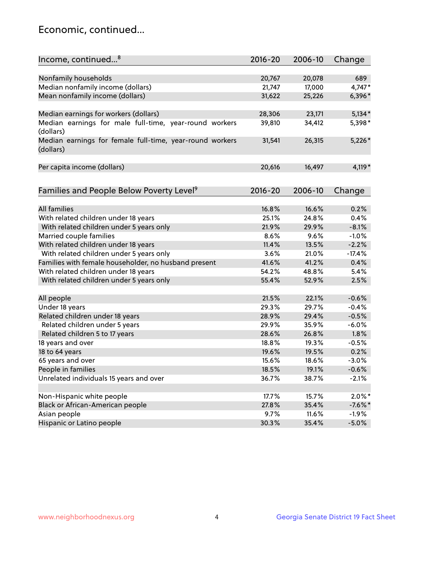## Economic, continued...

| Income, continued <sup>8</sup>                                        | $2016 - 20$ | 2006-10 | Change    |
|-----------------------------------------------------------------------|-------------|---------|-----------|
|                                                                       |             |         |           |
| Nonfamily households                                                  | 20,767      | 20,078  | 689       |
| Median nonfamily income (dollars)                                     | 21,747      | 17,000  | 4,747*    |
| Mean nonfamily income (dollars)                                       | 31,622      | 25,226  | 6,396*    |
| Median earnings for workers (dollars)                                 | 28,306      | 23,171  | $5,134*$  |
| Median earnings for male full-time, year-round workers                | 39,810      | 34,412  | 5,398*    |
| (dollars)                                                             |             |         |           |
| Median earnings for female full-time, year-round workers<br>(dollars) | 31,541      | 26,315  | $5,226*$  |
| Per capita income (dollars)                                           | 20,616      | 16,497  | $4,119*$  |
|                                                                       |             |         |           |
| Families and People Below Poverty Level <sup>9</sup>                  | $2016 - 20$ | 2006-10 | Change    |
| <b>All families</b>                                                   | 16.8%       | 16.6%   | 0.2%      |
| With related children under 18 years                                  | 25.1%       | 24.8%   | 0.4%      |
| With related children under 5 years only                              | 21.9%       | 29.9%   | $-8.1%$   |
| Married couple families                                               | 8.6%        | 9.6%    | $-1.0%$   |
| With related children under 18 years                                  | 11.4%       | 13.5%   | $-2.2%$   |
| With related children under 5 years only                              | 3.6%        | 21.0%   | $-17.4%$  |
| Families with female householder, no husband present                  | 41.6%       | 41.2%   | 0.4%      |
| With related children under 18 years                                  | 54.2%       | 48.8%   | 5.4%      |
|                                                                       |             |         |           |
| With related children under 5 years only                              | 55.4%       | 52.9%   | 2.5%      |
| All people                                                            | 21.5%       | 22.1%   | $-0.6%$   |
| Under 18 years                                                        | 29.3%       | 29.7%   | $-0.4%$   |
| Related children under 18 years                                       | 28.9%       | 29.4%   | $-0.5%$   |
| Related children under 5 years                                        | 29.9%       | 35.9%   | $-6.0%$   |
| Related children 5 to 17 years                                        | 28.6%       | 26.8%   | 1.8%      |
| 18 years and over                                                     | 18.8%       | 19.3%   | $-0.5%$   |
| 18 to 64 years                                                        | 19.6%       | 19.5%   | 0.2%      |
| 65 years and over                                                     | 15.6%       | 18.6%   | $-3.0%$   |
| People in families                                                    | 18.5%       | 19.1%   | $-0.6%$   |
| Unrelated individuals 15 years and over                               | 36.7%       | 38.7%   | $-2.1%$   |
|                                                                       |             |         |           |
| Non-Hispanic white people                                             | 17.7%       | 15.7%   | $2.0\%$ * |
| Black or African-American people                                      | 27.8%       | 35.4%   | $-7.6%$ * |
| Asian people                                                          | 9.7%        | 11.6%   | $-1.9%$   |
| Hispanic or Latino people                                             | 30.3%       | 35.4%   | $-5.0%$   |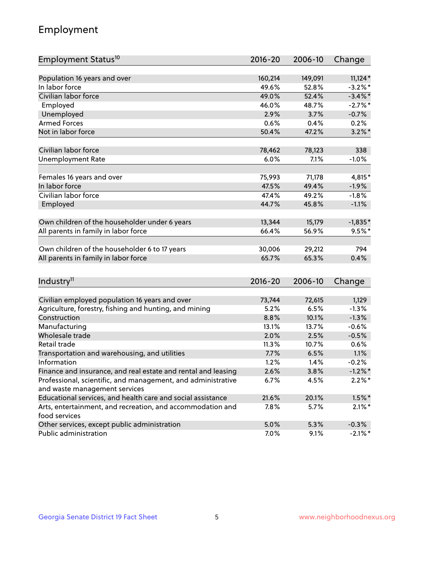## Employment

| Employment Status <sup>10</sup>                               | 2016-20     | 2006-10 | Change     |
|---------------------------------------------------------------|-------------|---------|------------|
| Population 16 years and over                                  |             |         |            |
| In labor force                                                | 160,214     | 149,091 | $11,124*$  |
| Civilian labor force                                          | 49.6%       | 52.8%   | $-3.2%$ *  |
|                                                               | 49.0%       | 52.4%   | $-3.4\%$ * |
| Employed                                                      | 46.0%       | 48.7%   | $-2.7%$ *  |
| Unemployed                                                    | 2.9%        | 3.7%    | $-0.7%$    |
| <b>Armed Forces</b>                                           | 0.6%        | 0.4%    | 0.2%       |
| Not in labor force                                            | 50.4%       | 47.2%   | $3.2\%$ *  |
| Civilian labor force                                          | 78,462      | 78,123  | 338        |
| <b>Unemployment Rate</b>                                      | 6.0%        | 7.1%    | $-1.0%$    |
|                                                               |             |         |            |
| Females 16 years and over                                     | 75,993      | 71,178  | 4,815*     |
| In labor force                                                | 47.5%       | 49.4%   | $-1.9%$    |
| Civilian labor force                                          | 47.4%       | 49.2%   | $-1.8%$    |
| Employed                                                      | 44.7%       | 45.8%   | $-1.1%$    |
| Own children of the householder under 6 years                 | 13,344      | 15,179  | $-1,835*$  |
|                                                               | 66.4%       | 56.9%   | $9.5%$ *   |
| All parents in family in labor force                          |             |         |            |
| Own children of the householder 6 to 17 years                 | 30,006      | 29,212  | 794        |
| All parents in family in labor force                          | 65.7%       | 65.3%   | 0.4%       |
|                                                               |             |         |            |
| Industry <sup>11</sup>                                        | $2016 - 20$ | 2006-10 | Change     |
|                                                               |             |         |            |
| Civilian employed population 16 years and over                | 73,744      | 72,615  | 1,129      |
| Agriculture, forestry, fishing and hunting, and mining        | 5.2%        | 6.5%    | $-1.3%$    |
| Construction                                                  | 8.8%        | 10.1%   | $-1.3%$    |
| Manufacturing                                                 | 13.1%       | 13.7%   | $-0.6%$    |
| Wholesale trade                                               | 2.0%        | 2.5%    | $-0.5%$    |
| Retail trade                                                  | 11.3%       | 10.7%   | 0.6%       |
| Transportation and warehousing, and utilities                 | 7.7%        | 6.5%    | 1.1%       |
| Information                                                   | 1.2%        | 1.4%    | $-0.2%$    |
| Finance and insurance, and real estate and rental and leasing | 2.6%        | 3.8%    | $-1.2\%$ * |
| Professional, scientific, and management, and administrative  | 6.7%        | 4.5%    | $2.2\%$ *  |
| and waste management services                                 |             |         |            |
| Educational services, and health care and social assistance   | 21.6%       | 20.1%   | $1.5\%$ *  |
| Arts, entertainment, and recreation, and accommodation and    | 7.8%        | 5.7%    | $2.1\%$ *  |
| food services                                                 |             |         |            |
| Other services, except public administration                  | 5.0%        | 5.3%    | $-0.3%$    |
| Public administration                                         | 7.0%        | 9.1%    | $-2.1\%$ * |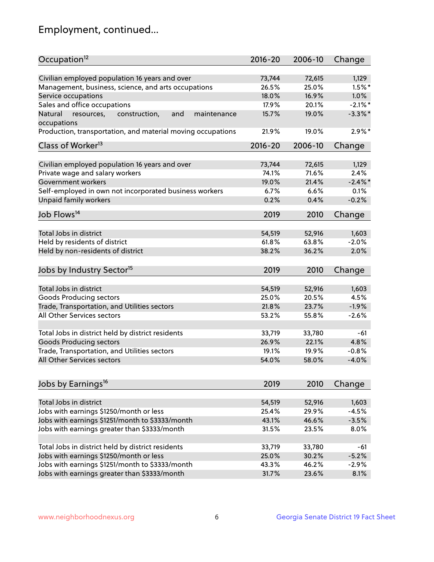## Employment, continued...

| Occupation <sup>12</sup>                                                    | $2016 - 20$ | 2006-10 | Change     |
|-----------------------------------------------------------------------------|-------------|---------|------------|
| Civilian employed population 16 years and over                              | 73,744      | 72,615  | 1,129      |
| Management, business, science, and arts occupations                         | 26.5%       | 25.0%   | $1.5\%$ *  |
| Service occupations                                                         | 18.0%       | 16.9%   | 1.0%       |
| Sales and office occupations                                                | 17.9%       | 20.1%   | $-2.1\%$ * |
|                                                                             |             |         |            |
| and<br>maintenance<br>Natural<br>resources,<br>construction,<br>occupations | 15.7%       | 19.0%   | $-3.3\%$ * |
| Production, transportation, and material moving occupations                 | 21.9%       | 19.0%   | $2.9\%$ *  |
| Class of Worker <sup>13</sup>                                               | $2016 - 20$ | 2006-10 | Change     |
|                                                                             |             |         |            |
| Civilian employed population 16 years and over                              | 73,744      | 72,615  | 1,129      |
| Private wage and salary workers                                             | 74.1%       | 71.6%   | 2.4%       |
| Government workers                                                          | 19.0%       | 21.4%   | $-2.4\%$   |
| Self-employed in own not incorporated business workers                      | 6.7%        | 6.6%    | 0.1%       |
| Unpaid family workers                                                       | 0.2%        | 0.4%    | $-0.2%$    |
| Job Flows <sup>14</sup>                                                     | 2019        | 2010    | Change     |
|                                                                             |             |         |            |
| Total Jobs in district                                                      | 54,519      | 52,916  | 1,603      |
| Held by residents of district                                               | 61.8%       | 63.8%   | $-2.0%$    |
| Held by non-residents of district                                           | 38.2%       | 36.2%   | 2.0%       |
| Jobs by Industry Sector <sup>15</sup>                                       | 2019        | 2010    | Change     |
|                                                                             |             |         |            |
| Total Jobs in district                                                      | 54,519      | 52,916  | 1,603      |
| Goods Producing sectors                                                     | 25.0%       | 20.5%   | 4.5%       |
| Trade, Transportation, and Utilities sectors                                | 21.8%       | 23.7%   | $-1.9%$    |
| All Other Services sectors                                                  | 53.2%       | 55.8%   | $-2.6%$    |
|                                                                             |             |         |            |
| Total Jobs in district held by district residents                           | 33,719      | 33,780  | $-61$      |
| <b>Goods Producing sectors</b>                                              | 26.9%       | 22.1%   | 4.8%       |
| Trade, Transportation, and Utilities sectors                                | 19.1%       | 19.9%   | $-0.8%$    |
| All Other Services sectors                                                  | 54.0%       | 58.0%   | $-4.0%$    |
| Jobs by Earnings <sup>16</sup>                                              | 2019        | 2010    | Change     |
|                                                                             |             |         |            |
| Total Jobs in district                                                      | 54,519      | 52,916  | 1,603      |
| Jobs with earnings \$1250/month or less                                     | 25.4%       | 29.9%   | $-4.5%$    |
| Jobs with earnings \$1251/month to \$3333/month                             | 43.1%       | 46.6%   | $-3.5%$    |
| Jobs with earnings greater than \$3333/month                                | 31.5%       | 23.5%   | 8.0%       |
|                                                                             |             |         |            |
| Total Jobs in district held by district residents                           | 33,719      | 33,780  | -61        |
| Jobs with earnings \$1250/month or less                                     | 25.0%       | 30.2%   | $-5.2%$    |
| Jobs with earnings \$1251/month to \$3333/month                             | 43.3%       | 46.2%   | $-2.9%$    |
| Jobs with earnings greater than \$3333/month                                | 31.7%       | 23.6%   | 8.1%       |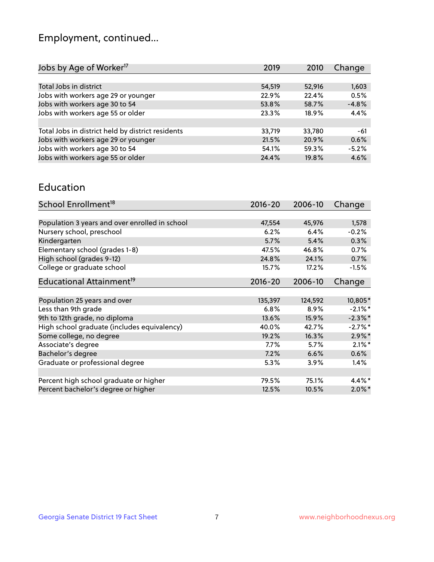## Employment, continued...

| 2019   | 2010   | Change                                     |
|--------|--------|--------------------------------------------|
|        |        |                                            |
| 54,519 | 52,916 | 1,603                                      |
| 22.9%  |        | 0.5%                                       |
| 53.8%  |        | $-4.8%$                                    |
| 23.3%  | 18.9%  | 4.4%                                       |
|        |        |                                            |
| 33,719 |        | -61                                        |
| 21.5%  |        | 0.6%                                       |
| 54.1%  |        | $-5.2%$                                    |
| 24.4%  | 19.8%  | 4.6%                                       |
|        |        | 22.4%<br>58.7%<br>33,780<br>20.9%<br>59.3% |

#### Education

| School Enrollment <sup>18</sup>                | $2016 - 20$ | 2006-10 | Change     |
|------------------------------------------------|-------------|---------|------------|
|                                                |             |         |            |
| Population 3 years and over enrolled in school | 47,554      | 45,976  | 1,578      |
| Nursery school, preschool                      | 6.2%        | 6.4%    | $-0.2%$    |
| Kindergarten                                   | 5.7%        | 5.4%    | 0.3%       |
| Elementary school (grades 1-8)                 | 47.5%       | 46.8%   | 0.7%       |
| High school (grades 9-12)                      | 24.8%       | 24.1%   | 0.7%       |
| College or graduate school                     | 15.7%       | 17.2%   | $-1.5%$    |
| Educational Attainment <sup>19</sup>           | $2016 - 20$ | 2006-10 | Change     |
|                                                |             |         |            |
| Population 25 years and over                   | 135,397     | 124,592 | 10,805*    |
| Less than 9th grade                            | 6.8%        | 8.9%    | $-2.1\%$ * |
| 9th to 12th grade, no diploma                  | 13.6%       | 15.9%   | $-2.3\%$ * |
| High school graduate (includes equivalency)    | 40.0%       | 42.7%   | $-2.7%$ *  |
| Some college, no degree                        | 19.2%       | 16.3%   | $2.9\%$ *  |
| Associate's degree                             | 7.7%        | 5.7%    | $2.1\%$ *  |
| Bachelor's degree                              | 7.2%        | 6.6%    | 0.6%       |
| Graduate or professional degree                | 5.3%        | 3.9%    | $1.4\%$    |
|                                                |             |         |            |
| Percent high school graduate or higher         | 79.5%       | 75.1%   | $4.4\%$ *  |
| Percent bachelor's degree or higher            | 12.5%       | 10.5%   | $2.0\%$ *  |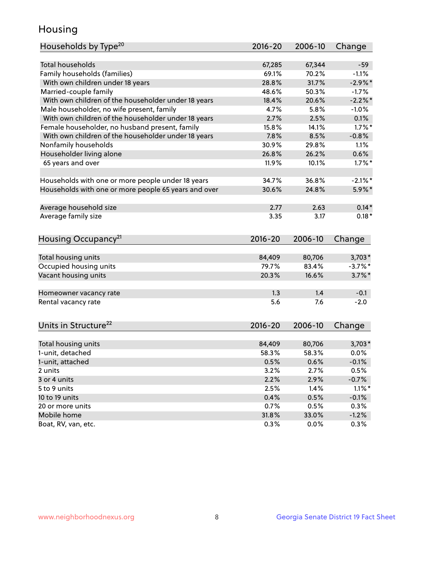## Housing

| Households by Type <sup>20</sup>                     | 2016-20     | 2006-10 | Change     |
|------------------------------------------------------|-------------|---------|------------|
|                                                      |             |         |            |
| <b>Total households</b>                              | 67,285      | 67,344  | $-59$      |
| Family households (families)                         | 69.1%       | 70.2%   | $-1.1%$    |
| With own children under 18 years                     | 28.8%       | 31.7%   | $-2.9%$ *  |
| Married-couple family                                | 48.6%       | 50.3%   | $-1.7%$    |
| With own children of the householder under 18 years  | 18.4%       | 20.6%   | $-2.2\%$ * |
| Male householder, no wife present, family            | 4.7%        | 5.8%    | $-1.0%$    |
| With own children of the householder under 18 years  | 2.7%        | 2.5%    | 0.1%       |
| Female householder, no husband present, family       | 15.8%       | 14.1%   | $1.7\%$ *  |
| With own children of the householder under 18 years  | 7.8%        | 8.5%    | $-0.8%$    |
| Nonfamily households                                 | 30.9%       | 29.8%   | 1.1%       |
| Householder living alone                             | 26.8%       | 26.2%   | 0.6%       |
| 65 years and over                                    | 11.9%       | 10.1%   | $1.7\%$ *  |
| Households with one or more people under 18 years    | 34.7%       | 36.8%   | $-2.1\%$ * |
| Households with one or more people 65 years and over | 30.6%       | 24.8%   | $5.9\%$ *  |
| Average household size                               | 2.77        | 2.63    | $0.14*$    |
| Average family size                                  | 3.35        | 3.17    | $0.18*$    |
|                                                      |             |         |            |
| Housing Occupancy <sup>21</sup>                      | $2016 - 20$ | 2006-10 | Change     |
| Total housing units                                  | 84,409      | 80,706  | $3,703*$   |
| Occupied housing units                               | 79.7%       | 83.4%   | $-3.7%$ *  |
| Vacant housing units                                 | 20.3%       | 16.6%   | $3.7\%$ *  |
|                                                      |             |         |            |
| Homeowner vacancy rate                               | 1.3         | 1.4     | $-0.1$     |
| Rental vacancy rate                                  | 5.6         | 7.6     | $-2.0$     |
| Units in Structure <sup>22</sup>                     | $2016 - 20$ | 2006-10 | Change     |
|                                                      |             |         |            |
| Total housing units                                  | 84,409      | 80,706  | $3,703*$   |
| 1-unit, detached                                     | 58.3%       | 58.3%   | 0.0%       |
| 1-unit, attached                                     | 0.5%        | 0.6%    | $-0.1%$    |
| 2 units                                              | 3.2%        | 2.7%    | 0.5%       |
| 3 or 4 units                                         | 2.2%        | 2.9%    | $-0.7%$    |
| 5 to 9 units                                         | 2.5%        | 1.4%    | $1.1\%$ *  |
| 10 to 19 units                                       | 0.4%        | 0.5%    | $-0.1%$    |
| 20 or more units                                     | 0.7%        | 0.5%    | 0.3%       |
| Mobile home                                          | 31.8%       | 33.0%   | $-1.2%$    |
| Boat, RV, van, etc.                                  | 0.3%        | 0.0%    | 0.3%       |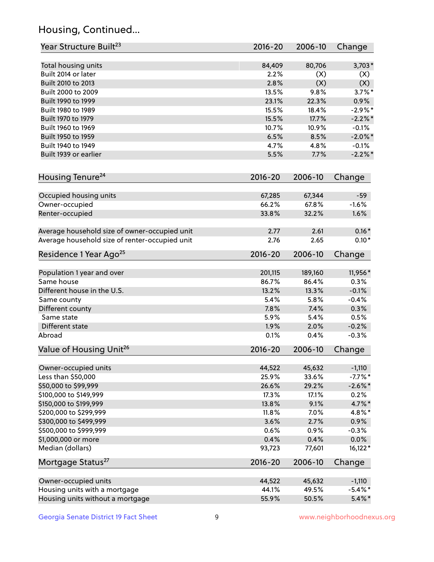## Housing, Continued...

| Year Structure Built <sup>23</sup>             | 2016-20     | 2006-10 | Change     |
|------------------------------------------------|-------------|---------|------------|
| Total housing units                            | 84,409      | 80,706  | $3,703*$   |
| Built 2014 or later                            | 2.2%        | (X)     | (X)        |
| Built 2010 to 2013                             | 2.8%        | (X)     | (X)        |
| Built 2000 to 2009                             | 13.5%       | 9.8%    | $3.7\%$ *  |
| Built 1990 to 1999                             | 23.1%       | 22.3%   | 0.9%       |
| Built 1980 to 1989                             | 15.5%       | 18.4%   | $-2.9%$ *  |
| Built 1970 to 1979                             | 15.5%       | 17.7%   | $-2.2\%$ * |
| Built 1960 to 1969                             | 10.7%       | 10.9%   | $-0.1%$    |
| Built 1950 to 1959                             | 6.5%        | 8.5%    | $-2.0\%$ * |
| Built 1940 to 1949                             | 4.7%        | 4.8%    | $-0.1%$    |
| Built 1939 or earlier                          | 5.5%        | 7.7%    | $-2.2%$    |
|                                                |             |         |            |
| Housing Tenure <sup>24</sup>                   | 2016-20     | 2006-10 | Change     |
| Occupied housing units                         | 67,285      | 67,344  | $-59$      |
| Owner-occupied                                 | 66.2%       | 67.8%   | $-1.6%$    |
| Renter-occupied                                | 33.8%       | 32.2%   | 1.6%       |
| Average household size of owner-occupied unit  | 2.77        | 2.61    | $0.16*$    |
| Average household size of renter-occupied unit | 2.76        | 2.65    | $0.10*$    |
| Residence 1 Year Ago <sup>25</sup>             | 2016-20     | 2006-10 | Change     |
| Population 1 year and over                     | 201,115     | 189,160 | 11,956*    |
| Same house                                     | 86.7%       | 86.4%   | 0.3%       |
| Different house in the U.S.                    | 13.2%       | 13.3%   | $-0.1%$    |
| Same county                                    | 5.4%        | 5.8%    | $-0.4%$    |
| Different county                               | 7.8%        | 7.4%    | 0.3%       |
| Same state                                     | 5.9%        | 5.4%    | 0.5%       |
| Different state                                | 1.9%        | 2.0%    | $-0.2%$    |
| Abroad                                         | 0.1%        | 0.4%    | $-0.3%$    |
|                                                |             |         |            |
| Value of Housing Unit <sup>26</sup>            | $2016 - 20$ | 2006-10 | Change     |
| Owner-occupied units                           | 44,522      | 45,632  | $-1,110$   |
| Less than \$50,000                             | 25.9%       | 33.6%   | $-7.7\%$ * |
| \$50,000 to \$99,999                           | 26.6%       | 29.2%   | $-2.6\%$ * |
| \$100,000 to \$149,999                         | 17.3%       | 17.1%   | 0.2%       |
| \$150,000 to \$199,999                         | 13.8%       | 9.1%    | 4.7%*      |
| \$200,000 to \$299,999                         | 11.8%       | 7.0%    | 4.8%*      |
| \$300,000 to \$499,999                         | 3.6%        | 2.7%    | 0.9%       |
| \$500,000 to \$999,999                         | 0.6%        | 0.9%    | $-0.3%$    |
| \$1,000,000 or more                            | 0.4%        | 0.4%    | 0.0%       |
| Median (dollars)                               | 93,723      | 77,601  | $16,122*$  |
| Mortgage Status <sup>27</sup>                  | $2016 - 20$ | 2006-10 | Change     |
| Owner-occupied units                           | 44,522      | 45,632  | $-1,110$   |
| Housing units with a mortgage                  | 44.1%       | 49.5%   | $-5.4\%$ * |
| Housing units without a mortgage               | 55.9%       | 50.5%   | $5.4\%$ *  |
|                                                |             |         |            |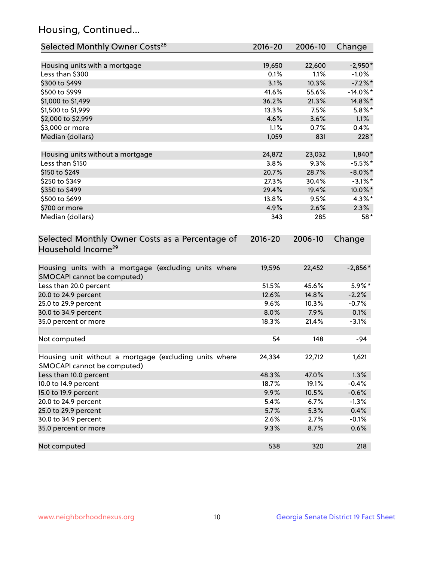## Housing, Continued...

| Selected Monthly Owner Costs <sup>28</sup>                                            | 2016-20     | 2006-10 | Change      |
|---------------------------------------------------------------------------------------|-------------|---------|-------------|
| Housing units with a mortgage                                                         | 19,650      | 22,600  | $-2,950*$   |
| Less than \$300                                                                       | 0.1%        | 1.1%    | $-1.0%$     |
| \$300 to \$499                                                                        | 3.1%        | 10.3%   | $-7.2\%$ *  |
| \$500 to \$999                                                                        | 41.6%       | 55.6%   | $-14.0\%$ * |
| \$1,000 to \$1,499                                                                    | 36.2%       | 21.3%   | 14.8%*      |
| \$1,500 to \$1,999                                                                    | 13.3%       | 7.5%    | $5.8\%$ *   |
| \$2,000 to \$2,999                                                                    | 4.6%        | 3.6%    | 1.1%        |
| \$3,000 or more                                                                       | 1.1%        | 0.7%    | 0.4%        |
| Median (dollars)                                                                      | 1,059       | 831     | $228*$      |
| Housing units without a mortgage                                                      | 24,872      | 23,032  | $1,840*$    |
| Less than \$150                                                                       | 3.8%        | 9.3%    | $-5.5%$ *   |
| \$150 to \$249                                                                        | 20.7%       | 28.7%   | $-8.0\%$ *  |
| \$250 to \$349                                                                        | 27.3%       | 30.4%   | $-3.1\%$ *  |
| \$350 to \$499                                                                        | 29.4%       | 19.4%   | 10.0%*      |
| \$500 to \$699                                                                        | 13.8%       | 9.5%    | 4.3%*       |
| \$700 or more                                                                         | 4.9%        | 2.6%    | 2.3%        |
| Median (dollars)                                                                      | 343         | 285     | 58*         |
| Selected Monthly Owner Costs as a Percentage of<br>Household Income <sup>29</sup>     | $2016 - 20$ | 2006-10 | Change      |
| Housing units with a mortgage (excluding units where<br>SMOCAPI cannot be computed)   | 19,596      | 22,452  | $-2,856*$   |
| Less than 20.0 percent                                                                | 51.5%       | 45.6%   | 5.9%*       |
| 20.0 to 24.9 percent                                                                  | 12.6%       | 14.8%   | $-2.2%$     |
| 25.0 to 29.9 percent                                                                  | 9.6%        | 10.3%   | $-0.7%$     |
| 30.0 to 34.9 percent                                                                  | 8.0%        | 7.9%    | 0.1%        |
| 35.0 percent or more                                                                  | 18.3%       | 21.4%   | $-3.1%$     |
| Not computed                                                                          | 54          | 148     | -94         |
| Housing unit without a mortgage (excluding units where<br>SMOCAPI cannot be computed) | 24,334      | 22,712  | 1,621       |
| Less than 10.0 percent                                                                | 48.3%       | 47.0%   | 1.3%        |
| 10.0 to 14.9 percent                                                                  | 18.7%       | 19.1%   | $-0.4%$     |
| 15.0 to 19.9 percent                                                                  | 9.9%        | 10.5%   | $-0.6%$     |
| 20.0 to 24.9 percent                                                                  | 5.4%        | 6.7%    | $-1.3%$     |
| 25.0 to 29.9 percent                                                                  | 5.7%        | 5.3%    | 0.4%        |
| 30.0 to 34.9 percent                                                                  | 2.6%        | 2.7%    | $-0.1%$     |
| 35.0 percent or more                                                                  | 9.3%        | 8.7%    | 0.6%        |
| Not computed                                                                          | 538         | 320     | 218         |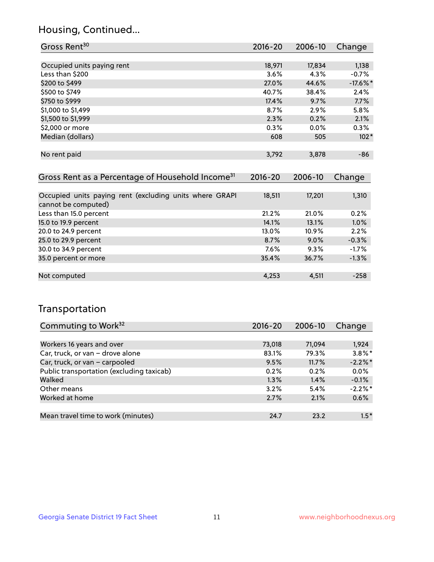## Housing, Continued...

| Gross Rent <sup>30</sup>                                     | $2016 - 20$ | 2006-10 | Change      |
|--------------------------------------------------------------|-------------|---------|-------------|
|                                                              |             |         |             |
| Occupied units paying rent                                   | 18,971      | 17,834  | 1,138       |
| Less than \$200                                              | 3.6%        | 4.3%    | $-0.7%$     |
| \$200 to \$499                                               | 27.0%       | 44.6%   | $-17.6\%$ * |
| \$500 to \$749                                               | 40.7%       | 38.4%   | 2.4%        |
| \$750 to \$999                                               | 17.4%       | 9.7%    | 7.7%        |
| \$1,000 to \$1,499                                           | 8.7%        | 2.9%    | 5.8%        |
| \$1,500 to \$1,999                                           | 2.3%        | 0.2%    | 2.1%        |
| \$2,000 or more                                              | $0.3\%$     | $0.0\%$ | 0.3%        |
| Median (dollars)                                             | 608         | 505     | $102*$      |
|                                                              |             |         |             |
| No rent paid                                                 | 3,792       | 3,878   | $-86$       |
|                                                              |             |         |             |
| Gross Rent as a Percentage of Household Income <sup>31</sup> | 2016-20     | 2006-10 | Change      |
| Occupied units paying rent (excluding units where GRAPI      | 18,511      | 17,201  | 1,310       |
| cannot be computed)                                          |             |         |             |
| Less than 15.0 percent                                       | 21.2%       | 21.0%   | 0.2%        |
| 15.0 to 19.9 percent                                         | 14.1%       | 13.1%   | 1.0%        |
| 20.0 to 24.9 percent                                         | 13.0%       | 10.9%   | 2.2%        |
| 25.0 to 29.9 percent                                         | 8.7%        | $9.0\%$ | $-0.3%$     |
| 30.0 to 34.9 percent                                         | 7.6%        | 9.3%    | $-1.7%$     |
|                                                              |             |         |             |

| cannot be computed)    |       |         |         |
|------------------------|-------|---------|---------|
| Less than 15.0 percent | 21.2% | 21.0%   | 0.2%    |
| 15.0 to 19.9 percent   | 14.1% | 13.1%   | 1.0%    |
| 20.0 to 24.9 percent   | 13.0% | 10.9%   | 2.2%    |
| 25.0 to 29.9 percent   | 8.7%  | $9.0\%$ | $-0.3%$ |
| 30.0 to 34.9 percent   | 7.6%  | 9.3%    | $-1.7%$ |
| 35.0 percent or more   | 35.4% | 36.7%   | $-1.3%$ |
|                        |       |         |         |
| Not computed           | 4,253 | 4,511   | $-258$  |
|                        |       |         |         |

## Transportation

| Commuting to Work <sup>32</sup>           | 2016-20 | 2006-10 | Change     |
|-------------------------------------------|---------|---------|------------|
|                                           |         |         |            |
| Workers 16 years and over                 | 73,018  | 71,094  | 1,924      |
| Car, truck, or van - drove alone          | 83.1%   | 79.3%   | $3.8\%$ *  |
| Car, truck, or van - carpooled            | 9.5%    | 11.7%   | $-2.2\%$ * |
| Public transportation (excluding taxicab) | 0.2%    | 0.2%    | 0.0%       |
| Walked                                    | 1.3%    | 1.4%    | $-0.1%$    |
| Other means                               | 3.2%    | 5.4%    | $-2.2\%$ * |
| Worked at home                            | 2.7%    | 2.1%    | 0.6%       |
|                                           |         |         |            |
| Mean travel time to work (minutes)        | 24.7    | 23.2    | $1.5*$     |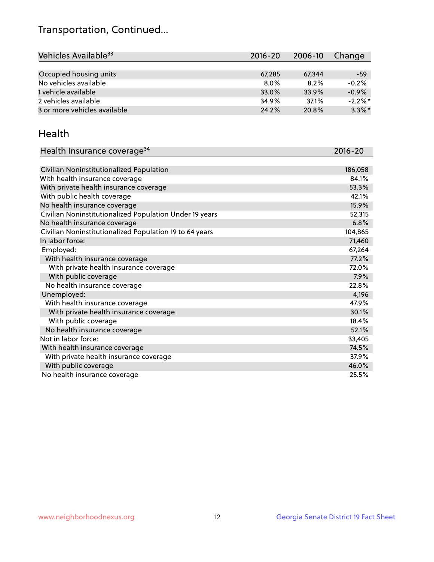## Transportation, Continued...

| Vehicles Available <sup>33</sup> | $2016 - 20$ | 2006-10 | Change     |
|----------------------------------|-------------|---------|------------|
|                                  |             |         |            |
| Occupied housing units           | 67,285      | 67.344  | -59        |
| No vehicles available            | $8.0\%$     | 8.2%    | $-0.2%$    |
| 1 vehicle available              | 33.0%       | 33.9%   | $-0.9%$    |
| 2 vehicles available             | 34.9%       | 37.1%   | $-2.2\%$ * |
| 3 or more vehicles available     | 24.2%       | 20.8%   | $3.3\%$ *  |

#### Health

| Health Insurance coverage <sup>34</sup>                 | 2016-20 |
|---------------------------------------------------------|---------|
|                                                         |         |
| Civilian Noninstitutionalized Population                | 186,058 |
| With health insurance coverage                          | 84.1%   |
| With private health insurance coverage                  | 53.3%   |
| With public health coverage                             | 42.1%   |
| No health insurance coverage                            | 15.9%   |
| Civilian Noninstitutionalized Population Under 19 years | 52,315  |
| No health insurance coverage                            | 6.8%    |
| Civilian Noninstitutionalized Population 19 to 64 years | 104,865 |
| In labor force:                                         | 71,460  |
| Employed:                                               | 67,264  |
| With health insurance coverage                          | 77.2%   |
| With private health insurance coverage                  | 72.0%   |
| With public coverage                                    | 7.9%    |
| No health insurance coverage                            | 22.8%   |
| Unemployed:                                             | 4,196   |
| With health insurance coverage                          | 47.9%   |
| With private health insurance coverage                  | 30.1%   |
| With public coverage                                    | 18.4%   |
| No health insurance coverage                            | 52.1%   |
| Not in labor force:                                     | 33,405  |
| With health insurance coverage                          | 74.5%   |
| With private health insurance coverage                  | 37.9%   |
| With public coverage                                    | 46.0%   |
| No health insurance coverage                            | 25.5%   |